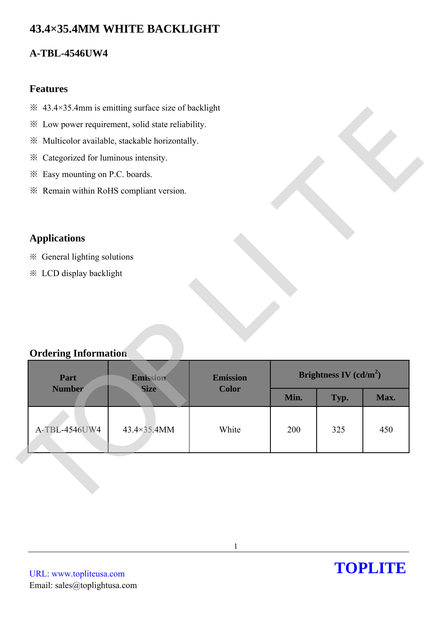# **43.4×35.4MM WHITE BACKLIGHT**

### **A-TBL-4546UW4**

#### **Features**

- $\frac{1}{2}$  43.4×35.4mm is emitting surface size of backlight
- ※ Low power requirement, solid state reliability.
- ※ Multicolor available, stackable horizontally.
- ※ Categorized for luminous intensity.
- ※ Easy mounting on P.C. boards.
- ※ Remain within RoHS compliant version.

## **Applications**

### **Ordering Information**

| * Low power requirement, solid state reliability. |             |                 |      |                          |      |
|---------------------------------------------------|-------------|-----------------|------|--------------------------|------|
| ※ Multicolor available, stackable horizontally.   |             |                 |      |                          |      |
| * Categorized for luminous intensity.             |             |                 |      |                          |      |
| * Easy mounting on P.C. boards.                   |             |                 |      |                          |      |
| * Remain within RoHS compliant version.           |             |                 |      |                          |      |
|                                                   |             |                 |      |                          |      |
| <b>Applications</b>                               |             |                 |      |                          |      |
|                                                   |             |                 |      |                          |      |
| ※ General lighting solutions                      |             |                 |      |                          |      |
| <b>※ LCD display backlight</b>                    |             |                 |      |                          |      |
|                                                   |             |                 |      |                          |      |
|                                                   |             |                 |      |                          |      |
|                                                   |             |                 |      |                          |      |
|                                                   |             |                 |      |                          |      |
|                                                   |             |                 |      |                          |      |
| <b>Ordering Information</b>                       |             |                 |      |                          |      |
|                                                   |             |                 |      |                          |      |
| Part                                              | Emission    | <b>Emission</b> |      | Brightness IV $(cd/m^2)$ |      |
| <b>Number</b>                                     | <b>Size</b> | <b>Color</b>    | Min. | Typ.                     | Max. |
|                                                   |             |                 |      |                          |      |
| A-TBL-4546UW4                                     | 43.4×35.4MM | White           | 200  | 325                      | 450  |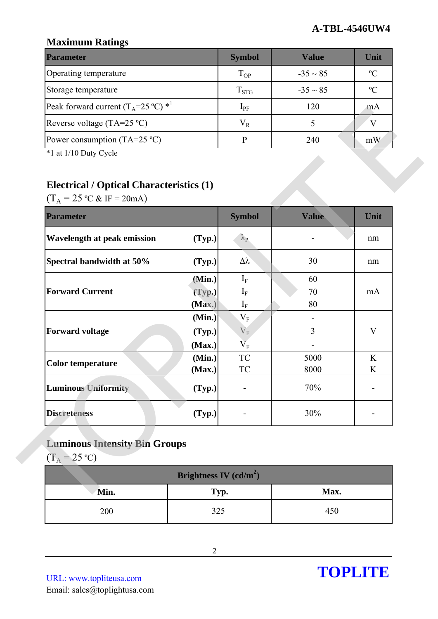### **Maximum Ratings**

| <b>Parameter</b>                                        | <b>Symbol</b> | Value         | Unit          |
|---------------------------------------------------------|---------------|---------------|---------------|
| Operating temperature                                   | $T_{OP}$      | $-35 \sim 85$ | $\mathcal{O}$ |
| Storage temperature                                     | $T_{STG}$     | $-35 \sim 85$ | $\mathcal{C}$ |
| Peak forward current $(T_A=25 \degree C)$ <sup>*1</sup> | $1_{\rm PF}$  | 120           | m A           |
| Reverse voltage (TA=25 $^{\circ}$ C)                    | $\rm V_R$     |               |               |
| Power consumption (TA=25 $^{\circ}$ C)                  |               | 240           | mW            |

# **Electrical / Optical Characteristics (1)**

| Peak forward current $(1_A=25^{\circ}C)^{2}$          |                          | $1_{PF}$                       | 120    | m <sub>A</sub> |
|-------------------------------------------------------|--------------------------|--------------------------------|--------|----------------|
| Reverse voltage $(TA=25 °C)$                          |                          | $V_R$                          | 5      | V              |
| Power consumption (TA=25 $^{\circ}$ C)                |                          | $\, {\bf p}$                   | 240    | mW             |
| *1 at 1/10 Duty Cycle                                 |                          |                                |        |                |
|                                                       |                          |                                |        |                |
| <b>Electrical / Optical Characteristics (1)</b>       |                          |                                |        |                |
| $(T_A = 25 \text{ °C} \& \text{ IF} = 20 \text{ mA})$ |                          |                                |        |                |
| <b>Parameter</b>                                      |                          | <b>Symbol</b>                  | Value  | Unit           |
| <b>Wavelength at peak emission</b>                    | (Typ.)                   | $\lambda_{\rm P}$              |        | nm             |
| Spectral bandwidth at 50%                             | (Typ.)                   | $\Delta \lambda$               | 30     | nm             |
|                                                       | (Min.)                   | $I_F$                          | 60     |                |
| <b>Forward Current</b>                                | (Typ.)                   | $I_F$                          | 70     | mA             |
|                                                       | (Max.)                   | $\mathrm{I}_\mathrm{F}$        | 80     |                |
|                                                       | (Min.)                   | $\rm V_F$                      |        |                |
| <b>Forward voltage</b>                                | (Typ.)                   | $V_{F}$                        | 3      | $\mathbf{V}$   |
|                                                       | (Max.)<br>(Min.)         | $\overline{V}_F$<br>${\rm TC}$ | 5000   | K              |
| <b>Color temperature</b>                              | (Max.)                   | <b>TC</b>                      | 8000   | K              |
| <b>Luminous Uniformity</b>                            | (Typ.)                   |                                | $70\%$ |                |
| <b>Discreteness</b>                                   | (Typ.)                   |                                | 30%    |                |
|                                                       |                          |                                |        |                |
| <b>Luminous Intensity Bin Groups</b>                  |                          |                                |        |                |
| $(T_A = 25 \text{ °C})$                               |                          |                                |        |                |
|                                                       | Brightness IV $(cd/m^2)$ |                                |        |                |
| Min.                                                  | Typ.                     |                                | Max.   |                |
| 200                                                   | 325                      |                                | 450    |                |

# **Luminous Intensity Bin Groups**

| Brightness IV $(cd/m^2)$ |      |      |  |  |
|--------------------------|------|------|--|--|
| Min.                     | Typ. | Max. |  |  |
| 200                      | 325  | 450  |  |  |

URL: www.topliteusa.com Email: sales@toplightusa.com

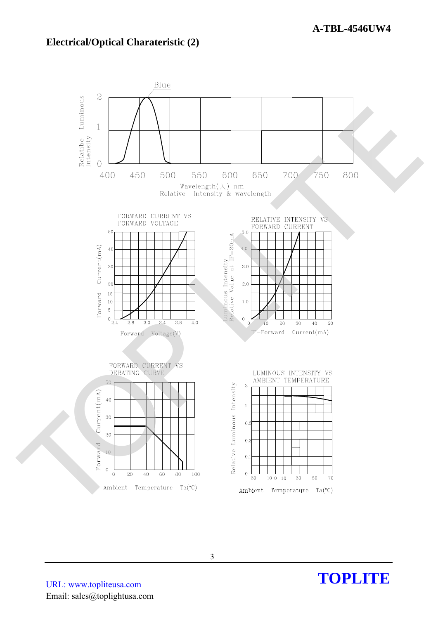#### **Electrical/Optical Charateristic (2)**



URL: www.topliteusa.com Email: sales@toplightusa.com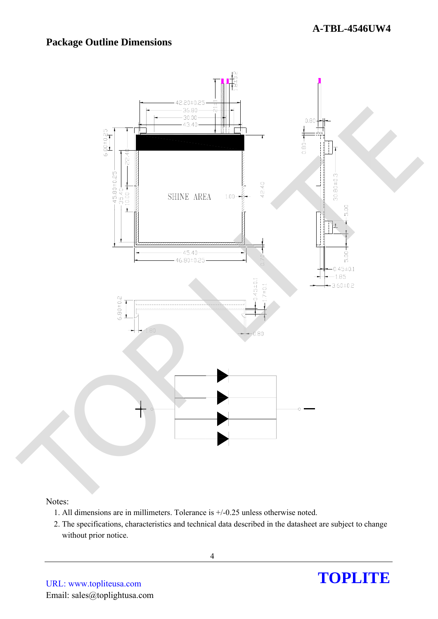### **Package Outline Dimensions**



#### Notes:

- 1. All dimensions are in millimeters. Tolerance is +/-0.25 unless otherwise noted.
- 2. The specifications, characteristics and technical data described in the datasheet are subject to change without prior notice.